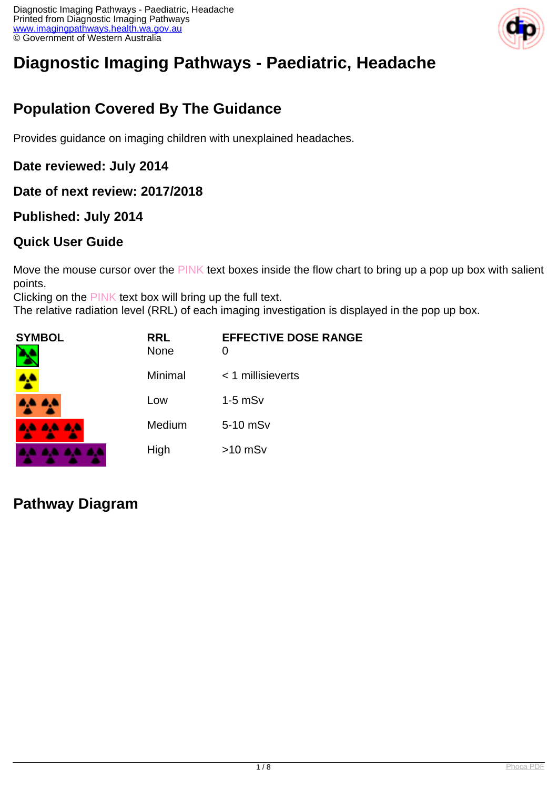

# **Diagnostic Imaging Pathways - Paediatric, Headache**

## **Population Covered By The Guidance**

Provides guidance on imaging children with unexplained headaches.

#### **Date reviewed: July 2014**

#### **Date of next review: 2017/2018**

#### **Published: July 2014**

#### **Quick User Guide**

Move the mouse cursor over the PINK text boxes inside the flow chart to bring up a pop up box with salient points.

Clicking on the PINK text box will bring up the full text.

The relative radiation level (RRL) of each imaging investigation is displayed in the pop up box.

| SYMBOL          | <b>RRL</b><br><b>None</b> | <b>EFFECTIVE DOSE RANGE</b><br>0 |
|-----------------|---------------------------|----------------------------------|
|                 | Minimal                   | < 1 millisieverts                |
| <b>AA AA</b>    | Low                       | $1-5$ mS $v$                     |
| <b>AA AA AA</b> | Medium                    | 5-10 mSv                         |
|                 | High                      | $>10$ mSv                        |

### **Pathway Diagram**

**ALC: UNK**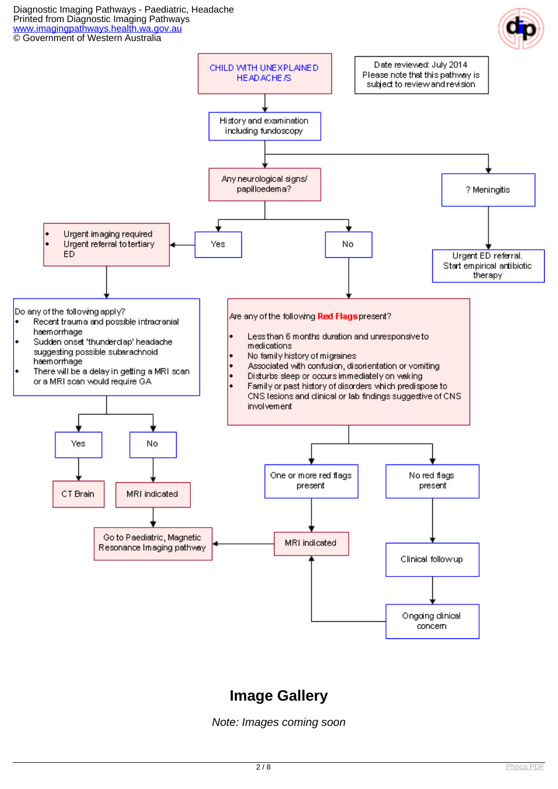Diagnostic Imaging Pathways - Paediatric, Headache Printed from Diagnostic Imaging Pathways [www.imagingpathways.health.wa.gov.au](http://www.imagingpathways.health.wa.gov.au/) © Government of Western Australia





### **Image Gallery**

Note: Images coming soon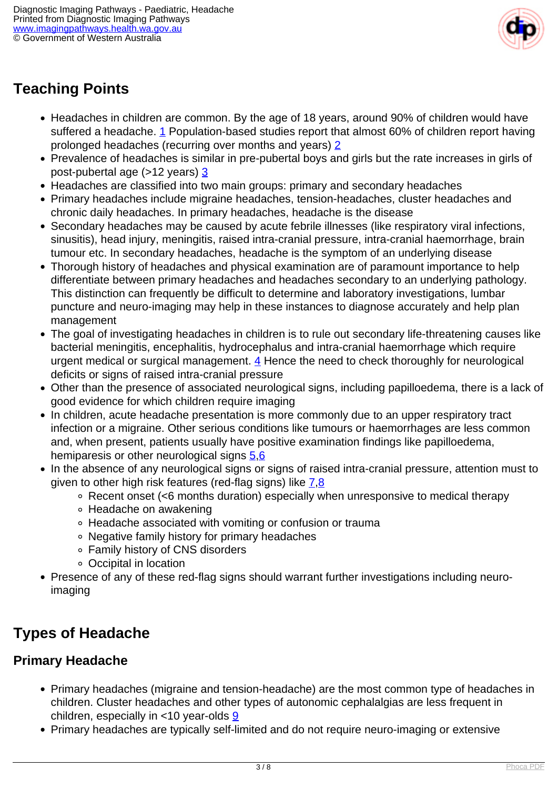

## **Teaching Points**

- Headaches in children are common. By the age of 18 years, around 90% of children would have suffered a headache. [1](index.php?option=com_content&view=article&id=231&tab=references#1) Population-based studies report that almost 60% of children report having prolonged headaches (recurring over months and years) [2](index.php?option=com_content&view=article&id=231&tab=references#2)
- Prevalence of headaches is similar in pre-pubertal boys and girls but the rate increases in girls of post-pubertal age (>12 years) [3](index.php?option=com_content&view=article&id=231&tab=references#3)
- Headaches are classified into two main groups: primary and secondary headaches
- Primary headaches include migraine headaches, tension-headaches, cluster headaches and chronic daily headaches. In primary headaches, headache is the disease
- Secondary headaches may be caused by acute febrile illnesses (like respiratory viral infections, sinusitis), head injury, meningitis, raised intra-cranial pressure, intra-cranial haemorrhage, brain tumour etc. In secondary headaches, headache is the symptom of an underlying disease
- Thorough history of headaches and physical examination are of paramount importance to help differentiate between primary headaches and headaches secondary to an underlying pathology. This distinction can frequently be difficult to determine and laboratory investigations, lumbar puncture and neuro-imaging may help in these instances to diagnose accurately and help plan management
- The goal of investigating headaches in children is to rule out secondary life-threatening causes like bacterial meningitis, encephalitis, hydrocephalus and intra-cranial haemorrhage which require urgent medical or surgical management.  $\frac{4}{3}$  $\frac{4}{3}$  $\frac{4}{3}$  Hence the need to check thoroughly for neurological deficits or signs of raised intra-cranial pressure
- Other than the presence of associated neurological signs, including papilloedema, there is a lack of good evidence for which children require imaging
- In children, acute headache presentation is more commonly due to an upper respiratory tract infection or a migraine. Other serious conditions like tumours or haemorrhages are less common and, when present, patients usually have positive examination findings like papilloedema, hemiparesis or other neurological signs  $\frac{5,6}{5}$  $\frac{5,6}{5}$  $\frac{5,6}{5}$
- In the absence of any neurological signs or signs of raised intra-cranial pressure, attention must to given to other high risk features (red-flag signs) like  $7,8$  $7,8$  $7,8$ 
	- Recent onset (<6 months duration) especially when unresponsive to medical therapy
	- Headache on awakening
	- Headache associated with vomiting or confusion or trauma
	- Negative family history for primary headaches
	- Family history of CNS disorders
	- Occipital in location
- Presence of any of these red-flag signs should warrant further investigations including neuroimaging

### **Types of Headache**

#### **Primary Headache**

- Primary headaches (migraine and tension-headache) are the most common type of headaches in children. Cluster headaches and other types of autonomic cephalalgias are less frequent in children, especially in  $<$ 10 year-olds  $9$
- Primary headaches are typically self-limited and do not require neuro-imaging or extensive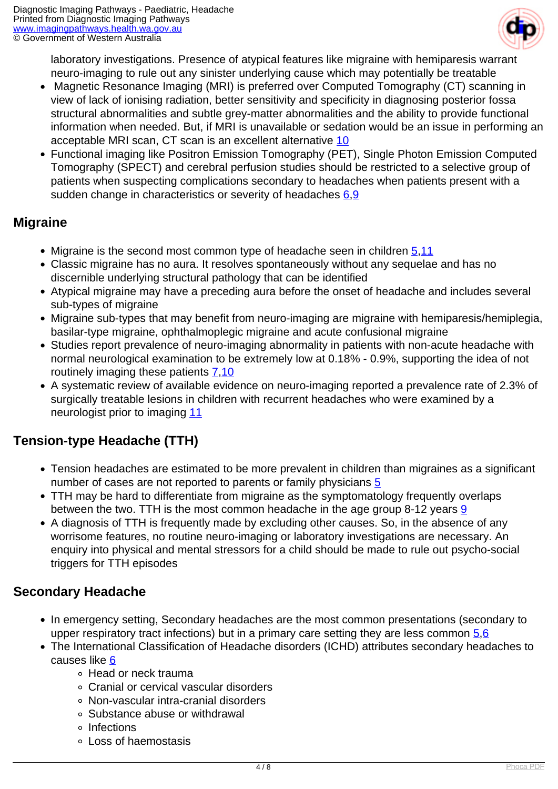

laboratory investigations. Presence of atypical features like migraine with hemiparesis warrant neuro-imaging to rule out any sinister underlying cause which may potentially be treatable

- Magnetic Resonance Imaging (MRI) is preferred over Computed Tomography (CT) scanning in view of lack of ionising radiation, better sensitivity and specificity in diagnosing posterior fossa structural abnormalities and subtle grey-matter abnormalities and the ability to provide functional information when needed. But, if MRI is unavailable or sedation would be an issue in performing an acceptable MRI scan, CT scan is an excellent alternative [10](index.php?option=com_content&view=article&id=231&tab=references#10)
- Functional imaging like Positron Emission Tomography (PET), Single Photon Emission Computed Tomography (SPECT) and cerebral perfusion studies should be restricted to a selective group of patients when suspecting complications secondary to headaches when patients present with a sudden change in characteristics or severity of headaches [6](index.php?option=com_content&view=article&id=231&tab=references#6)[,9](index.php?option=com_content&view=article&id=231&tab=references#9)

#### **Migraine**

- Migraine is the second most common type of headache seen in children  $\frac{5,11}{2}$  $\frac{5,11}{2}$  $\frac{5,11}{2}$
- Classic migraine has no aura. It resolves spontaneously without any sequelae and has no discernible underlying structural pathology that can be identified
- Atypical migraine may have a preceding aura before the onset of headache and includes several sub-types of migraine
- Migraine sub-types that may benefit from neuro-imaging are migraine with hemiparesis/hemiplegia, basilar-type migraine, ophthalmoplegic migraine and acute confusional migraine
- Studies report prevalence of neuro-imaging abnormality in patients with non-acute headache with normal neurological examination to be extremely low at 0.18% - 0.9%, supporting the idea of not routinely imaging these patients  $7,10$  $7,10$
- A systematic review of available evidence on neuro-imaging reported a prevalence rate of 2.3% of surgically treatable lesions in children with recurrent headaches who were examined by a neurologist prior to imaging [11](index.php?option=com_content&view=article&id=231&tab=references#11)

#### **Tension-type Headache (TTH)**

- Tension headaches are estimated to be more prevalent in children than migraines as a significant number of cases are not reported to parents or family physicians [5](index.php?option=com_content&view=article&id=231&tab=references#5)
- TTH may be hard to differentiate from migraine as the symptomatology frequently overlaps between the two. TTH is the most common headache in the age group 8-12 years [9](index.php?option=com_content&view=article&id=231&tab=references#9)
- A diagnosis of TTH is frequently made by excluding other causes. So, in the absence of any worrisome features, no routine neuro-imaging or laboratory investigations are necessary. An enquiry into physical and mental stressors for a child should be made to rule out psycho-social triggers for TTH episodes

#### **Secondary Headache**

- In emergency setting, Secondary headaches are the most common presentations (secondary to upper respiratory tract infections) but in a primary care setting they are less common  $5,6$  $5,6$
- The International Classification of Headache disorders (ICHD) attributes secondary headaches to causes like [6](index.php?option=com_content&view=article&id=231&tab=references#6)
	- Head or neck trauma
	- Cranial or cervical vascular disorders
	- Non-vascular intra-cranial disorders
	- Substance abuse or withdrawal
	- o Infections
	- Loss of haemostasis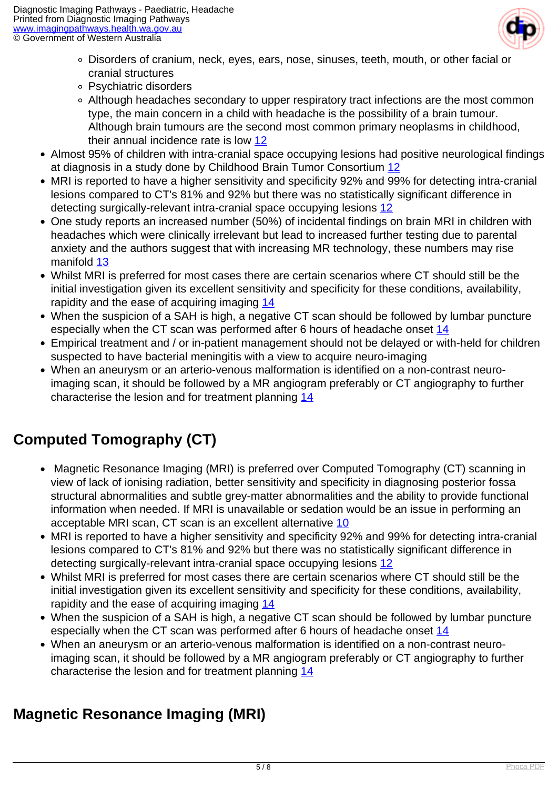

- Disorders of cranium, neck, eyes, ears, nose, sinuses, teeth, mouth, or other facial or cranial structures
- Psychiatric disorders
- Although headaches secondary to upper respiratory tract infections are the most common type, the main concern in a child with headache is the possibility of a brain tumour. Although brain tumours are the second most common primary neoplasms in childhood, their annual incidence rate is low [12](index.php?option=com_content&view=article&id=231&tab=references#12)
- Almost 95% of children with intra-cranial space occupying lesions had positive neurological findings at diagnosis in a study done by Childhood Brain Tumor Consortium [12](index.php?option=com_content&view=article&id=231&tab=references#12)
- MRI is reported to have a higher sensitivity and specificity 92% and 99% for detecting intra-cranial lesions compared to CT's 81% and 92% but there was no statistically significant difference in detecting surgically-relevant intra-cranial space occupying lesions [12](index.php?option=com_content&view=article&id=231&tab=references#12)
- One study reports an increased number (50%) of incidental findings on brain MRI in children with headaches which were clinically irrelevant but lead to increased further testing due to parental anxiety and the authors suggest that with increasing MR technology, these numbers may rise manifold [13](index.php?option=com_content&view=article&id=231&tab=references#13)
- Whilst MRI is preferred for most cases there are certain scenarios where CT should still be the initial investigation given its excellent sensitivity and specificity for these conditions, availability, rapidity and the ease of acquiring imaging [14](index.php?option=com_content&view=article&id=231&tab=references#14)
- When the suspicion of a SAH is high, a negative CT scan should be followed by lumbar puncture especially when the CT scan was performed after 6 hours of headache onset [14](index.php?option=com_content&view=article&id=231&tab=references#14)
- Empirical treatment and / or in-patient management should not be delayed or with-held for children suspected to have bacterial meningitis with a view to acquire neuro-imaging
- When an aneurysm or an arterio-venous malformation is identified on a non-contrast neuroimaging scan, it should be followed by a MR angiogram preferably or CT angiography to further characterise the lesion and for treatment planning [14](index.php?option=com_content&view=article&id=231&tab=references#14)

## **Computed Tomography (CT)**

- Magnetic Resonance Imaging (MRI) is preferred over Computed Tomography (CT) scanning in view of lack of ionising radiation, better sensitivity and specificity in diagnosing posterior fossa structural abnormalities and subtle grey-matter abnormalities and the ability to provide functional information when needed. If MRI is unavailable or sedation would be an issue in performing an acceptable MRI scan, CT scan is an excellent alternative [10](index.php?option=com_content&view=article&id=231&tab=references#10)
- MRI is reported to have a higher sensitivity and specificity 92% and 99% for detecting intra-cranial lesions compared to CT's 81% and 92% but there was no statistically significant difference in detecting surgically-relevant intra-cranial space occupying lesions [12](index.php?option=com_content&view=article&id=231&tab=references#12)
- Whilst MRI is preferred for most cases there are certain scenarios where CT should still be the initial investigation given its excellent sensitivity and specificity for these conditions, availability, rapidity and the ease of acquiring imaging [14](index.php?option=com_content&view=article&id=231&tab=references#14)
- When the suspicion of a SAH is high, a negative CT scan should be followed by lumbar puncture especially when the CT scan was performed after 6 hours of headache onset [14](index.php?option=com_content&view=article&id=231&tab=references#14)
- When an aneurysm or an arterio-venous malformation is identified on a non-contrast neuroimaging scan, it should be followed by a MR angiogram preferably or CT angiography to further characterise the lesion and for treatment planning [14](index.php?option=com_content&view=article&id=231&tab=references#14)

## **Magnetic Resonance Imaging (MRI)**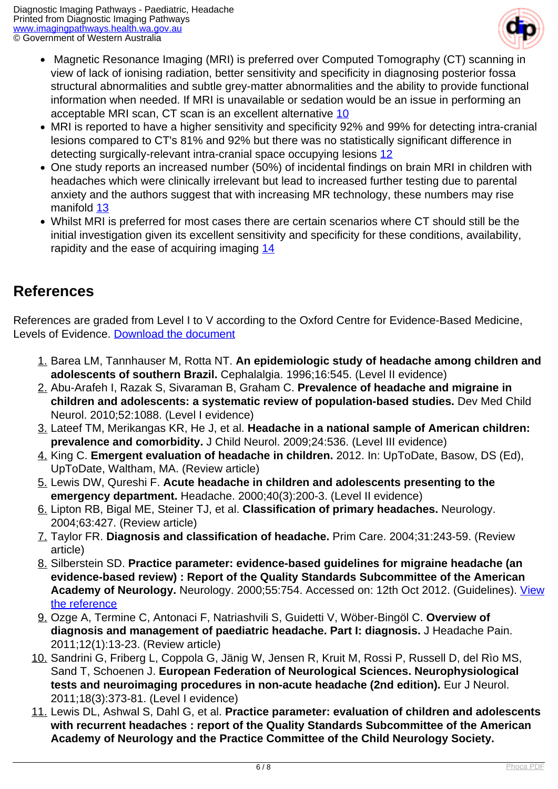

- Magnetic Resonance Imaging (MRI) is preferred over Computed Tomography (CT) scanning in view of lack of ionising radiation, better sensitivity and specificity in diagnosing posterior fossa structural abnormalities and subtle grey-matter abnormalities and the ability to provide functional information when needed. If MRI is unavailable or sedation would be an issue in performing an acceptable MRI scan, CT scan is an excellent alternative [10](index.php?option=com_content&view=article&id=231&tab=references#10)
- MRI is reported to have a higher sensitivity and specificity 92% and 99% for detecting intra-cranial lesions compared to CT's 81% and 92% but there was no statistically significant difference in detecting surgically-relevant intra-cranial space occupying lesions [12](index.php?option=com_content&view=article&id=231&tab=references#12)
- One study reports an increased number (50%) of incidental findings on brain MRI in children with headaches which were clinically irrelevant but lead to increased further testing due to parental anxiety and the authors suggest that with increasing MR technology, these numbers may rise manifold [13](index.php?option=com_content&view=article&id=231&tab=references#13)
- Whilst MRI is preferred for most cases there are certain scenarios where CT should still be the initial investigation given its excellent sensitivity and specificity for these conditions, availability, rapidity and the ease of acquiring imaging  $14$

### **References**

References are graded from Level I to V according to the Oxford Centre for Evidence-Based Medicine, Levels of Evidence. [Download the document](http://www.cebm.net/wp-content/uploads/2014/06/CEBM-Levels-of-Evidence-2.1.pdf)

- 1. Barea LM, Tannhauser M, Rotta NT. **An epidemiologic study of headache among children and adolescents of southern Brazil.** Cephalalgia. 1996;16:545. (Level II evidence)
- 2. Abu-Arafeh I, Razak S, Sivaraman B, Graham C. **Prevalence of headache and migraine in children and adolescents: a systematic review of population-based studies.** Dev Med Child Neurol. 2010;52:1088. (Level I evidence)
- 3. Lateef TM, Merikangas KR, He J, et al. **Headache in a national sample of American children: prevalence and comorbidity.** J Child Neurol. 2009;24:536. (Level III evidence)
- 4. King C. **Emergent evaluation of headache in children.** 2012. In: UpToDate, Basow, DS (Ed), UpToDate, Waltham, MA. (Review article)
- 5. Lewis DW, Qureshi F. **Acute headache in children and adolescents presenting to the emergency department.** Headache. 2000;40(3):200-3. (Level II evidence)
- 6. Lipton RB, Bigal ME, Steiner TJ, et al. **Classification of primary headaches.** Neurology. 2004;63:427. (Review article)
- 7. Taylor FR. **Diagnosis and classification of headache.** Prim Care. 2004;31:243-59. (Review article)
- 8. Silberstein SD. **Practice parameter: evidence-based guidelines for migraine headache (an evidence-based review) : Report of the Quality Standards Subcommittee of the American Academy of Neurology.** Neurology. 2000;55:754. Accessed on: 12th Oct 2012. (Guidelines). [View](http://www.neurology.org/content/55/6/754.full.pdf+html) [the reference](http://www.neurology.org/content/55/6/754.full.pdf+html)
- 9. Ozge A, Termine C, Antonaci F, Natriashvili S, Guidetti V, Wöber-Bingöl C. **Overview of diagnosis and management of paediatric headache. Part I: diagnosis.** J Headache Pain. 2011;12(1):13-23. (Review article)
- 10. Sandrini G, Friberg L, Coppola G, Jänig W, Jensen R, Kruit M, Rossi P, Russell D, del Rìo MS, Sand T, Schoenen J. **European Federation of Neurological Sciences. Neurophysiological tests and neuroimaging procedures in non-acute headache (2nd edition).** Eur J Neurol. 2011;18(3):373-81. (Level I evidence)
- 11. Lewis DL, Ashwal S, Dahl G, et al. **Practice parameter: evaluation of children and adolescents with recurrent headaches : report of the Quality Standards Subcommittee of the American Academy of Neurology and the Practice Committee of the Child Neurology Society.**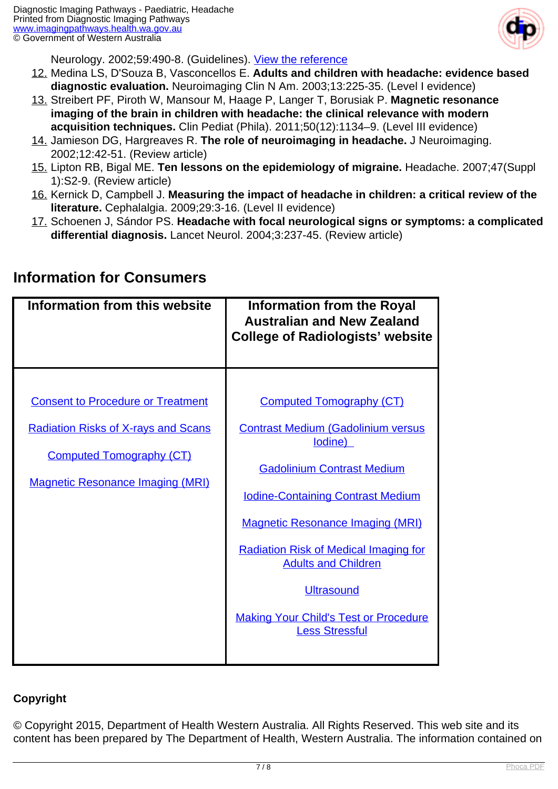

Neurology. 2002;59:490-8. (Guidelines). [View the reference](http://www.neurology.org/content/59/4/490.full.pdf+html)

- 12. Medina LS, D'Souza B, Vasconcellos E. **Adults and children with headache: evidence based diagnostic evaluation.** Neuroimaging Clin N Am. 2003;13:225-35. (Level I evidence)
- 13. Streibert PF, Piroth W, Mansour M, Haage P, Langer T, Borusiak P. **Magnetic resonance imaging of the brain in children with headache: the clinical relevance with modern acquisition techniques.** Clin Pediat (Phila). 2011;50(12):1134–9. (Level III evidence)
- 14. Jamieson DG, Hargreaves R. **The role of neuroimaging in headache.** J Neuroimaging. 2002;12:42-51. (Review article)
- 15. Lipton RB, Bigal ME. **Ten lessons on the epidemiology of migraine.** Headache. 2007;47(Suppl 1):S2-9. (Review article)
- 16. Kernick D, Campbell J. **Measuring the impact of headache in children: a critical review of the literature.** Cephalalgia. 2009;29:3-16. (Level II evidence)
- 17. Schoenen J, Sándor PS. **Headache with focal neurological signs or symptoms: a complicated differential diagnosis.** Lancet Neurol. 2004;3:237-45. (Review article)

| Information from this website                                                                                                                                        | <b>Information from the Royal</b><br><b>Australian and New Zealand</b><br><b>College of Radiologists' website</b>                                                                                                                                                                                                                                                                               |
|----------------------------------------------------------------------------------------------------------------------------------------------------------------------|-------------------------------------------------------------------------------------------------------------------------------------------------------------------------------------------------------------------------------------------------------------------------------------------------------------------------------------------------------------------------------------------------|
| <b>Consent to Procedure or Treatment</b><br><b>Radiation Risks of X-rays and Scans</b><br><b>Computed Tomography (CT)</b><br><b>Magnetic Resonance Imaging (MRI)</b> | <b>Computed Tomography (CT)</b><br><b>Contrast Medium (Gadolinium versus</b><br>lodine)<br><b>Gadolinium Contrast Medium</b><br><b>Iodine-Containing Contrast Medium</b><br><b>Magnetic Resonance Imaging (MRI)</b><br><b>Radiation Risk of Medical Imaging for</b><br><b>Adults and Children</b><br><b>Ultrasound</b><br><b>Making Your Child's Test or Procedure</b><br><b>Less Stressful</b> |

#### **Information for Consumers**

#### **Copyright**

© Copyright 2015, Department of Health Western Australia. All Rights Reserved. This web site and its content has been prepared by The Department of Health, Western Australia. The information contained on